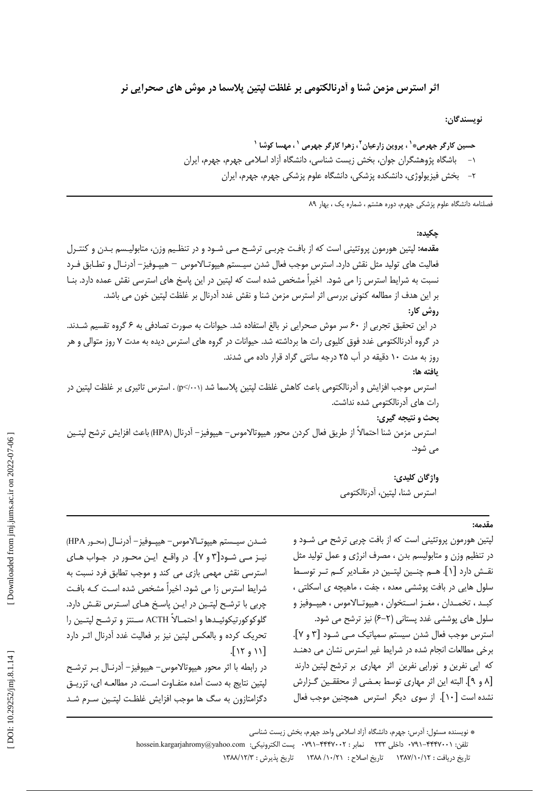اثر استرس مزمن شنا و أدرنالكتومي بر غلظت ليتين پلاسما در موش هاي صحرايي نر

نويسندگان:

فصلنامه دانشگاه علوم یزشکی جهرم، دوره هشتم ، شماره یک ، بهار ۸۹

حكىدە: مقدمه: لپتین هورمون پروتئینی است که از بافت چربـی ترشـح مـی شـود و در تنظـیم وزن، متابولیـسم بـدن و کنتـرل فعاليت هاي توليد مثل نقش دارد. استرس موجب فعال شدن سيـستم هييوتـالاموس – هييـوفيز– آدرنـال و تطـابق فـرد نسبت به شرایط استرس زا می شود. اخیراً مشخص شده است که لپتین در این پاسخ های استرسی نقش عمده دارد. بنـا بر این هدف از مطالعه کنونی بررسی اثر استرس مزمن شنا و نقش غدد آدرنال بر غلظت لپتین خون می باشد. **روش کار:** در این تحقیق تجربی از ۶۰ سر موش صحرایی نر بالغ استفاده شد. حیوانات به صورت تصادفی به ۶ گروه تقسیم شـدند. در گروه اَدرنالکتومی غدد فوق کلیوی رات ها برداشته شد. حیوانات در گروه های استرس دیده به مدت ۷ روز متوالی و هر روز به مدت ۱۰ دقیقه در آب ۲۵ درجه سانتی گراد قرار داده می شدند. ىافته ها: استرس موجب افزایش و آدرنالکتومی باعث کاهش غلظت لیتین پلاسما شد (p</··۱) . استرس تاثیری بر غلظت لیتین در رات های آدرنالکتومی شده نداشت. بحث و نتيجه گيري: استرس مزمن شنا احتمالاً از طريق فعال كردن محور هيپوتالاموس– هيپوفيز– آدرنال (HPA) باعث افزايش ترشح لپتـين می شود. واژگان كليدي:

## $4.19.$

لیتین هورمون پروتئینی است که از بافت چربی ترشح می شـود و در تنظیم وزن و متابولیسم بدن ، مصرف انرژی و عمل تولید مثل نقـش دارد [۱]. هــم چنــین لیتــین در مقــادیر کــم تــر توســط سلول هایی در بافت پوششی معده ، جفت ، ماهیچه ی اسکلتی ، كبـد ، تخمـدان ، مغــز اســتخوان ، هيپوتــالاموس ، هيپــوفيز و سلول های پوششی غدد پستانی (۲–۶) نیز ترشح می شود. استرس موجب فعال شدن سیستم سمیاتیک مے شود [۳ و ۷]. برخی مطالعات انجام شده در شرایط غیر استرس نشان می دهنـد که ایی نفرین و نورایی نفرین اثر مهاری بر ترشح لیتین دارند [۸ و ۹]. البته این اثر مهاری توسط بعـضی از محققـین گـزارش نشده است [١٠]. از سوى ديگر استرس همچنين موجب فعال

استرس شنا، لیتین، آدرنالکتومی

شـدن سيـستم هييوتـالاموس – هييــوفيز – آدرنــال (محـور HPA) نيـز مـي شـود[٣ و ٧]. در واقـع ايـن محـور در جـواب هـاي استرسی نقش مهمی بازی می کند و موجب تطابق فرد نسبت به شرایط استرس زا می شود. اخیراً مشخص شده است کـه بافـت چربی با ترشح لپتین در ایـن پاسخ هـای اسـترس نقـش دارد. گلوکوکورتیکوئیـدها و احتمــالاً ACTH ســنتز و ترشــح لیتــین را تحریک کرده و بالعکس لیتین نیز بر فعالیت غدد آدرنال اثـر دارد  $\lceil$  11  $\alpha$  11]

در رابطه با اثر محور هیپوتالاموس- هیپوفیز- آدرنـال بـر ترشـح لپتین نتایج به دست آمده متفـاوت اسـت. در مطالعـه ای، تزریــق دگزامتازون به سگ ها موجب افزایش غلظت لیتـین سـرم شـد

> \* نویسنده مسئول: آدرس: جهرم، دانشگاه آزاد اسلامی واحد جهرم، بخش زیست شناسی تلفن: ٧٩١-۴۴۴۷٠٠٢ داخلي ٢٣٣ نمابر : ٣٢٤٢٠٠٢٠٢ -٧٩١٠ - يست الكترونيكي: hossein.kargarjahromy@yahoo.com

تاريخ دريافت : ١٣٨٧/١٠/١٢ تاريخ اصلاح : ١٣٨٨ /١٠/٢١ تاريخ يذيرش : ١٣٨٨/١٢/٣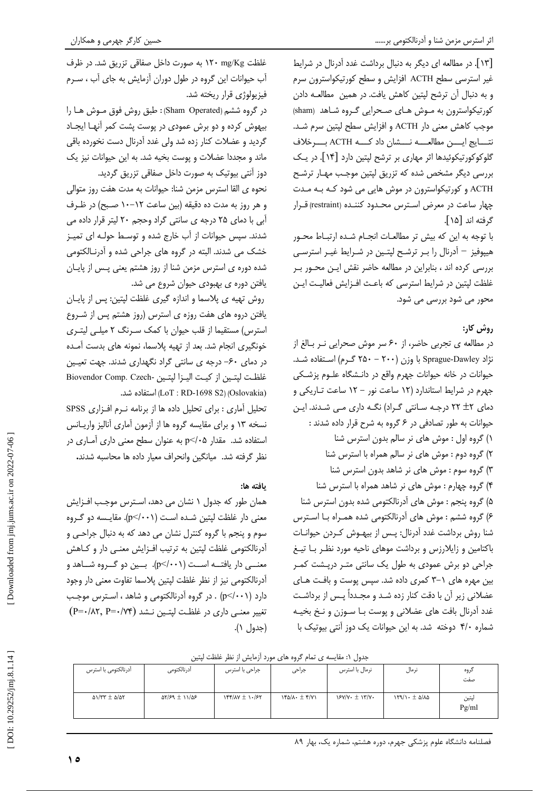[١٣]. در مطالعه ای دیگر به دنبال برداشت غدد آدرنال در شرایط غیر استرسی سطح ACTH افزایش و سطح کورتیکواسترون سرم و به دنبال آن ترشح لپتین کاهش یافت. در همین مطالعـه دادن کورتیکواسترون به موش هـای صـحرایی گـروه شـاهد (sham) موجب كاهش معنى دار ACTH و افزايش سطح لپتين سرم شد. نتـــايج ايــــن مطالعــــه نــــشان داد كــــه ACTH بـــــرخلاف گلوکوکورتیکوئیدها اثر مهاری بر ترشح لپتین دارد [۱۴]. در یک بررسی دیگر مشخص شده که تزریق لیتین موجب مهـار ترشـح ACTH و کورتیکواسترون در موش هایی می شود کـه بـه مـدت چهار ساعت در معرض استرس محـدود کننـده (restraint) قــرار گرفته اند [۱۵].

با توجه به این که بیش تر مطالعـات انجـام شـده ارتبـاط محـور هیپوفیز – آدرنال را بـر ترشـح لپتـین در شـرایط غیـر استرسـی بررسی کرده اند ، بنابراین در مطالعه حاضر نقش این محور بر غلظت لیتین در شرایط استرسی که باعـث افــزایش فعالیـت ایــن محور می شود بررسی می شود.

## روش کار:

در مطالعه ی تجربی حاضر، از ۶۰ سر موش صحرایی نـر بـالغ از نژاد Sprague-Dawley با وزن (۲۰۰ - ۲۵۰ گرم) استفاده شد. حیوانات در خانه حیوانات جهرم واقع در دانـشگاه علـوم پزشـکی جهرم در شرایط استاندارد (١٢ ساعت نور - ١٢ ساعت تاریکی و دمای ٢٢ +٢ درجه سانتي گراد) نگه داري مي شدند. اين حیوانات به طور تصادفی در ۶ گروه به شرح قرار داده شدند : ١) گروه اول : موش های نر سالم بدون استرس شنا ٢) گروه دوم : موش های نر سالم همراه با استرس شنا ٣) گروه سوم : موش های نر شاهد بدون استرس شنا ۴) گروه چهارم : موش های نر شاهد همراه با استرس شنا ۵) گروه پنجم : موش های آدرنالکتومی شده بدون استرس شنا ۶) گروه ششم : موش های آدرنالکتومی شده همـراه بـا اسـترس شنا روش برداشت غدد آدرنال: پـس از بیهـوش کـردن حیوانـات باکتامین و زایلارزس و برداشت موهای ناحیه مورد نظـر بـا تیـغ جراحی دو برش عمودی به طول یک سانتی متـر درپـشت کمـر بین مهره های ١-٣ كمرى داده شد. سپس پوست و بافت هاى عضلانی زیر آن با دقت کنار زده شـد و مجـدداً پـس از برداشـت غدد آدرنال بافت های عضلانی و پوست بـا سـوزن و نـخ بخیـه شماره ۴/۰ دوخته شد. به این حیوانات یک دوز آنتی بیوتیک با

غلظت ۱۲۰ mg/Kg به صورت داخل صفاقی تزریق شد. در ظرف آب حیوانات این گروه در طول دوران آزمایش به جای آب ، سـرم فيزيولوژي قرار ريخته شد.

در گروه ششم (Sham Operated): طبق روش فوق مـوش هـا را بیهوش کرده و دو برش عمودی در پوست پشت کمر آنهـا ایجـاد گردید و عضلات کنار زده شد ولی غدد آدرنال دست نخورده باقی ماند و مجددا عضلات و پوست بخیه شد. به این حیوانات نیز یک دوز آنتی بیوتیک به صورت داخل صفاقی تزریق گردید.

نحوه ي القا استرس مزمن شنا: حيوانات به مدت هفت روز متوالي و هر روز به مدت ده دقیقه (بین ساعت ۱۲–۱۰ صبح) در ظـرف آبی با دمای ۲۵ درجه ی سانتی گراد وحجم ۲۰ لیتر قرار داده می شدند. سپس حیوانات از آب خارج شده و توسط حولـه ای تمیـز خشک می شدند. البته در گروه های جراحی شده و آدرنـالکتومی شده دوره ی استرس مزمن شنا از روز هشتم یعنی پـس از پایـان یافتن دورہ ی بھبودی حیوان شروع می شد.

روش تهيه ي پلاسما و اندازه گيري غلظت لپتين: پس از پايان یافتن دروه های هفت روزه ی استرس (روز هشتم پس از شـروع استرس) مستقیما از قلب حیوان با کمک سـرنگ ۲ میلـی لیتـری خونگیری انجام شد. بعد از تهیه پلاسما، نمونه های بدست آمـده در دمای ۶۰- درجه ی سانتی گراد نگهداری شدند. جهت تعیین غلظت لپتين از كيت اليزا لپتين -Biovendor Comp. Czech (Oslovakia) استفاده شد. (LoT : RD-1698 S2)

تحلیل آماری : برای تحلیل داده ها از برنامه نـرم افـزاری SPSS نسخه ۱۳ و برای مقایسه گروه ها از آزمون آماری آنالیز واریـانس استفاده شد. مقدار p</٠۵ به عنوان سطح معنى دارى آمـارى در نظر گرفته شد. میانگین وانحراف معیار داده ها محاسبه شدند.

## يافته ها:

همان طور که جدول ۱ نشان می دهد، اسـترس موجـب افـزایش معنى دار غلظت لپتين شده است (p</·٠١). مقايـسه دو گـروه سوم و پنجم با گروه کنترل نشان می دهد که به دنبال جراحـی و آدرنالکتومی غلظت لپتین به ترتیب افـزایش معنـی دار و کـاهش معنــی دار یافتــه اســت (p</·۰۱). بــین دو گــروه شــاهد و آدرنالكتومي نيز از نظر غلظت لپتين پلاسما تفاوت معنى دار وجود دارد (p</۰۰۱) . در گروه آدرنالکتومی و شاهد ، استرس موجب  $(P = \cdot / \lambda \gamma, P = \cdot / \gamma \gamma)$  تغییر معنــی داری در غلظـت لیتــین نــشد ( (جدول ۱).

جدول ۱: مقایسه ی تمام گروه های مورد آزمایش از نظر غلظت لیتین

| أدرنالكتومى با استرس                      | أدرنالكتومى                   | جراحی با استرس       | جراحى                                              | نرمال با استرس   | نرمال       | گروه<br>صفت    |
|-------------------------------------------|-------------------------------|----------------------|----------------------------------------------------|------------------|-------------|----------------|
| $\Delta$ 1/٣٣ $\pm$ $\Delta$ / $\Delta$ ٢ | $\Delta Y/S9 \pm 11/\Delta S$ | $155/10$ $\pm 1.157$ | $Y^{\alpha}/\lambda \cdot \pm \mathfrak{r}/\gamma$ | $Y/Y/Y$ + $Y/YY$ | 159/1.52/10 | لپتين<br>Pg/ml |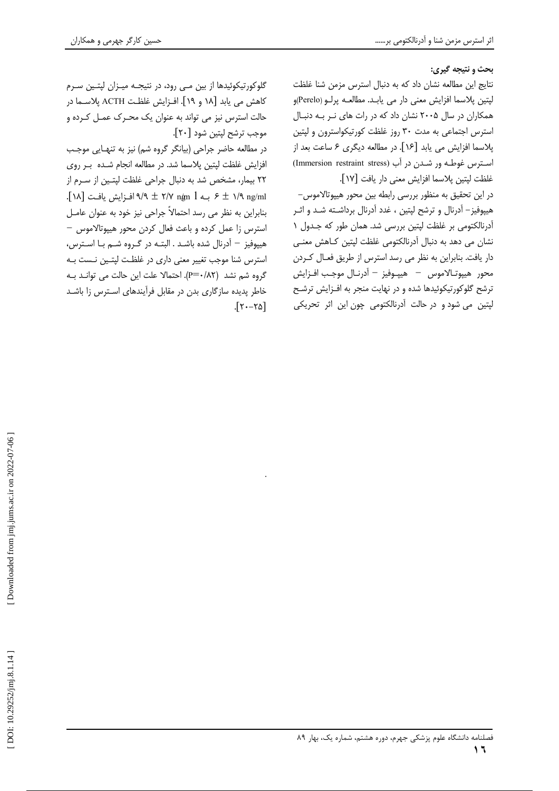**بحث و نتیجه گیری:** 

نتايج اين مطالعه نشان داد كه به دنبال استرس مزمن شنا غلظت لپتين پلاسما افزايش معنى دار مي يابـد. مطالعــه پرلــو (Perelo)و همکاران در سال ۲۰۰۵ نشان داد که در رات های نــر بــه دنبــال استرس اجتماعی به مدت ۳۰ روز غلظت کورتیکواسترون و لپتین پلاسما افزایش می یابد [۱۶]. در مطالعه دیگری ۶ ساعت بعد از استرس غوطـه ور شـدن در آب (Immersion restraint stress) غلظت لپتين پلاسما افزايش معنى دار يافت [١٧].

در این تحقیق به منظور بررسی رابطه بین محور هیپوتالاموس– هیپوفیز– آدرنال و ترشح لپتین ، غدد آدرنال برداشـته شـد و اثـر أدرنالكتومى بر غلظت لپتين بررسى شد. همان طور كه جـدول ١ نشان می دهد به دنبال أدرنالکتومی غلظت لپتین کـاهش معنــی دار یافت. بنابراین به نظر می رسد استرس از طریق فعـال کــردن محور هيپوتـالاموس — هيپـوفيز — آدرنـال موجـب افـزايش ترشح گلوکورتیکوئیدها شده و در نهایت منجر به افـزایش ترشـح لپتین می شود و در حالت آدرنالکتومی چون این اثر تحریکی

گلوکورتیکوئیدها از بین مـی رود، در نتیجـه میـزان لپتـین سـرم كاهش مى يابد [١٨ و ١٩]. افــزايش غلظـت ACTH پلاســما در حالت استرس نیز می تواند به عنوان یک محـرک عمـل کـرده و موجب ترشح لپتين شود [٢٠].

در مطالعه حاضر جراحی (بیانگر گروه شم) نیز به تنهـایی موجـب افزایش غلظت لپتین پلاسما شد. در مطالعه انجام شـده بـر روی ٢٢ بيمار، مشخص شد به دنبال جراحي غلظت لپتـين از سـرم از . ۶ ± ۱/۹ افـزايش يافـت [۱۸] ۹/۹ ± ۹/۹ افـزايش يافـت [۱۸]. بنابراین به نظر می رسد احتمالاً جراحی نیز خود به عنوان عامـل استرس زا عمل کرده و باعث فعال کردن محور هیپوتالاموس – -هیپوفیز – آدرنال شده باشـد . البتـه در گـروه شـم بـا اسـترس، -استرس شنا موجب تغییر معنی داری در غلظت لپتـین نـست بـه گروه شم نشد (P=٠/٨٢). احتمالا علت اين حالت مي توانـد بـه خاطر پدیده سازگاری بدن در مقابل فرآیندهای اسـترس زا باشــد - $5 - 70$ 

-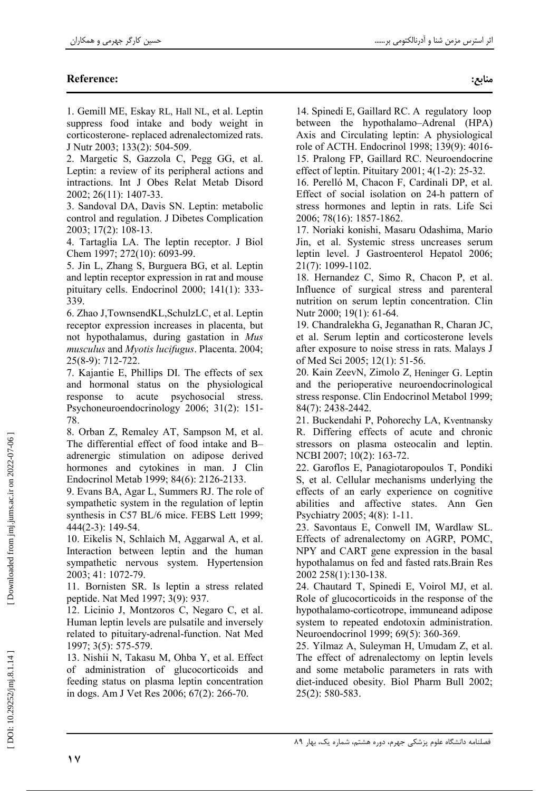# **Reference:**

1. Gemill ME, Eskay RL, Hall NL, et al. Leptin suppress food intake and body weight in corticosterone-replaced adrenalectomized rats. J Nutr 2003; 133(2): 504-509.

2. Margetic S, Gazzola C, Pegg GG, et al. Leptin: a review of its peripheral actions and intractions. Int J Obes Relat Metab Disord 2002; 26(11): 1407-33.

3. Sandoval DA, Davis SN. Leptin: metabolic control and regulation. J Dibetes Complication 2003; 17(2): 108-13.

4. Tartaglia LA. The leptin receptor. J Biol Chem 1997; 272(10): 6093-99.

5. Jin L, Zhang S, Burguera BG, et al. Leptin and leptin receptor expression in rat and mouse pituitary cells. Endocrinol  $2000$ ;  $141(1)$ : 333-339.

6. Zhao J, TownsendKL, SchulzLC, et al. Leptin receptor expression increases in placenta, but not hypothalamus, during gastation in Mus musculus and Myotis lucifugus. Placenta. 2004; 25(8-9): 712-722.

7. Kajantie E, Phillips DI. The effects of sex and hormonal status on the physiological response to acute psychosocial stress. Psychoneuroendocrinology 2006; 31(2): 151-78.

8. Orban Z, Remaley AT, Sampson M, et al. The differential effect of food intake and Badrenergic stimulation on adipose derived hormones and cytokines in man. J Clin Endocrinol Metab 1999; 84(6): 2126-2133.

9. Evans BA, Agar L, Summers RJ. The role of sympathetic system in the regulation of leptin synthesis in C57 BL/6 mice. FEBS Lett 1999;  $444(2-3)$ : 149-54.

10. Eikelis N, Schlaich M, Aggarwal A, et al. Interaction between leptin and the human sympathetic nervous system. Hypertension 2003; 41: 1072-79.

11. Bornisten SR. Is leptin a stress related peptide. Nat Med 1997; 3(9): 937.

12. Licinio J, Montzoros C, Negaro C, et al. Human leptin levels are pulsatile and inversely related to pituitary-adrenal-function. Nat Med 1997; 3(5): 575-579.

13. Nishii N, Takasu M, Ohba Y, et al. Effect of administration of glucocorticoids and feeding status on plasma leptin concentration in dogs. Am J Vet Res 2006; 67(2): 266-70.

14. Spinedi E, Gaillard RC. A regulatory loop between the hypothalamo-Adrenal (HPA) Axis and Circulating leptin: A physiological role of ACTH. Endocrinol 1998; 139(9): 4016-15. Pralong FP, Gaillard RC. Neuroendocrine effect of leptin. Pituitary 2001; 4(1-2): 25-32.

16. Perelló M, Chacon F, Cardinali DP, et al. Effect of social isolation on 24-h pattern of stress hormones and leptin in rats. Life Sci 2006; 78(16): 1857-1862.

17. Noriaki konishi, Masaru Odashima, Mario Jin, et al. Systemic stress uncreases serum leptin level. J Gastroenterol Hepatol 2006; 21(7): 1099-1102.

18. Hernandez C, Simo R, Chacon P, et al. Influence of surgical stress and parenteral nutrition on serum leptin concentration. Clin Nutr 2000; 19(1): 61-64.

19. Chandralekha G, Jeganathan R, Charan JC, et al. Serum leptin and corticosterone levels after exposure to noise stress in rats. Malays J of Med Sci 2005; 12(1): 51-56.

20. Kain ZeevN, Zimolo Z, Heninger G. Leptin and the perioperative neuroendocrinological stress response. Clin Endocrinol Metabol 1999; 84(7): 2438-2442.

21. Buckendahi P, Pohorechy LA, Kventnansky R. Differing effects of acute and chronic stressors on plasma osteocalin and leptin. NCBI 2007; 10(2): 163-72.

22. Garoflos E, Panagiotaropoulos T, Pondiki S, et al. Cellular mechanisms underlying the effects of an early experience on cognitive abilities and affective states. Ann Gen Psychiatry 2005; 4(8): 1-11.

23. Savontaus E, Conwell IM, Wardlaw SL. Effects of adrenalectomy on AGRP, POMC, NPY and CART gene expression in the basal hypothalamus on fed and fasted rats. Brain Res 2002 258(1):130-138.

24. Chautard T, Spinedi E, Voirol MJ, et al. Role of glucocorticoids in the response of the hypothalamo-corticotrope, immuneand adipose system to repeated endotoxin administration. Neuroendocrinol 1999; 69(5): 360-369.

25. Yilmaz A, Suleyman H, Umudam Z, et al. The effect of adrenalectomy on leptin levels and some metabolic parameters in rats with diet-induced obesity. Biol Pharm Bull 2002; 25(2): 580-583.

Downloaded from jmj.jums.ac.ir on 2022-07-06

DOI: 10.29252/jmj.8.1.14